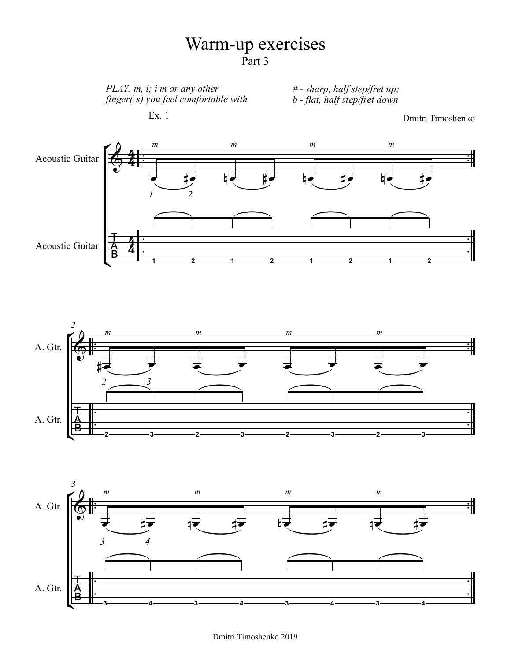## Warm-up exercises

Part 3

*PLAY: m, i; i m or any other finger(-s) you feel comfortable with*

Ex. 1

*# - sharp, half step/fret up; b - flat, half step/fret down*

Dmitri Timoshenko





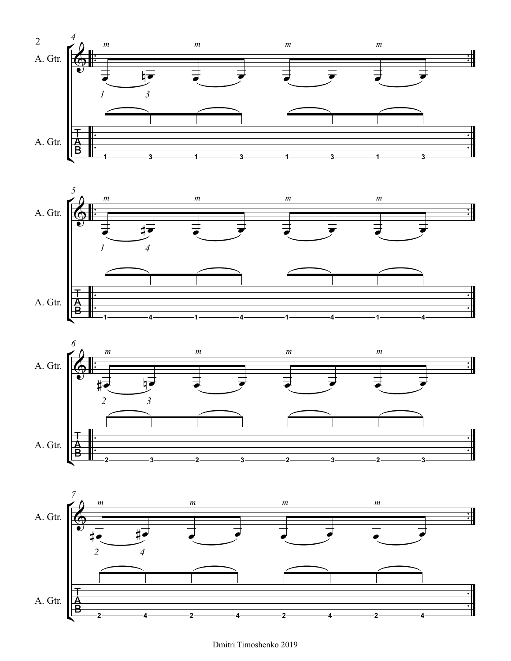





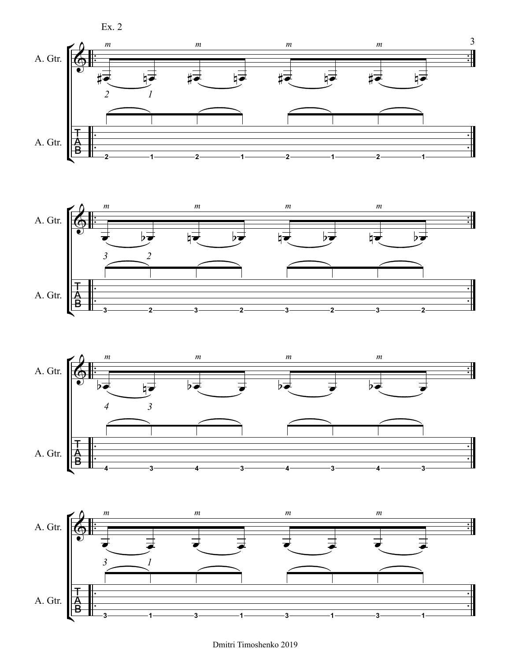

![](_page_2_Figure_2.jpeg)

![](_page_2_Figure_3.jpeg)

![](_page_2_Figure_4.jpeg)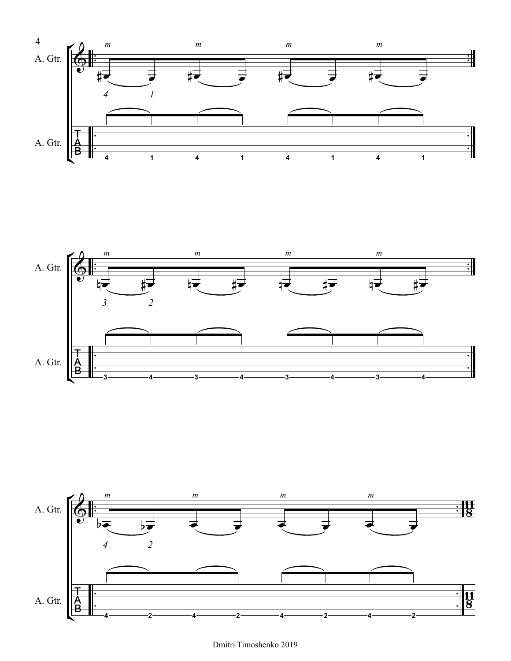![](_page_3_Figure_0.jpeg)

![](_page_3_Figure_1.jpeg)

![](_page_3_Figure_2.jpeg)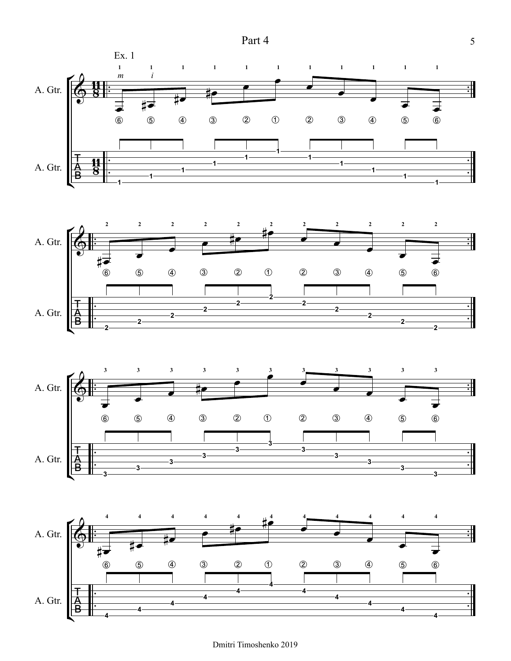![](_page_4_Figure_0.jpeg)

![](_page_4_Figure_1.jpeg)